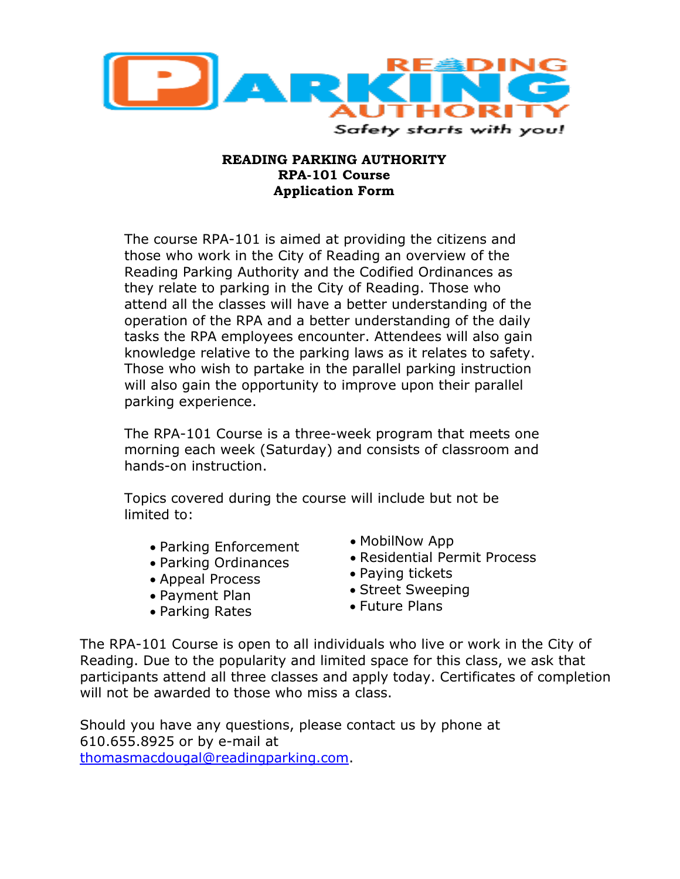

## **READING PARKING AUTHORITY RPA-101 Course Application Form**

The course RPA-101 is aimed at providing the citizens and those who work in the City of Reading an overview of the Reading Parking Authority and the Codified Ordinances as they relate to parking in the City of Reading. Those who attend all the classes will have a better understanding of the operation of the RPA and a better understanding of the daily tasks the RPA employees encounter. Attendees will also gain knowledge relative to the parking laws as it relates to safety. Those who wish to partake in the parallel parking instruction will also gain the opportunity to improve upon their parallel parking experience.

The RPA-101 Course is a three-week program that meets one morning each week (Saturday) and consists of classroom and hands-on instruction.

Topics covered during the course will include but not be limited to:

- Parking Enforcement
- Parking Ordinances
- Appeal Process
- Payment Plan
- Parking Rates
- MobilNow App
- Residential Permit Process
- Paying tickets
- Street Sweeping
- Future Plans

The RPA-101 Course is open to all individuals who live or work in the City of Reading. Due to the popularity and limited space for this class, we ask that participants attend all three classes and apply today. Certificates of completion will not be awarded to those who miss a class.

Should you have any questions, please contact us by phone at 610.655.8925 or by e-mail at [thomasmacdougal@readingparking.com.](mailto:thomasmacdougal@readingparking.com)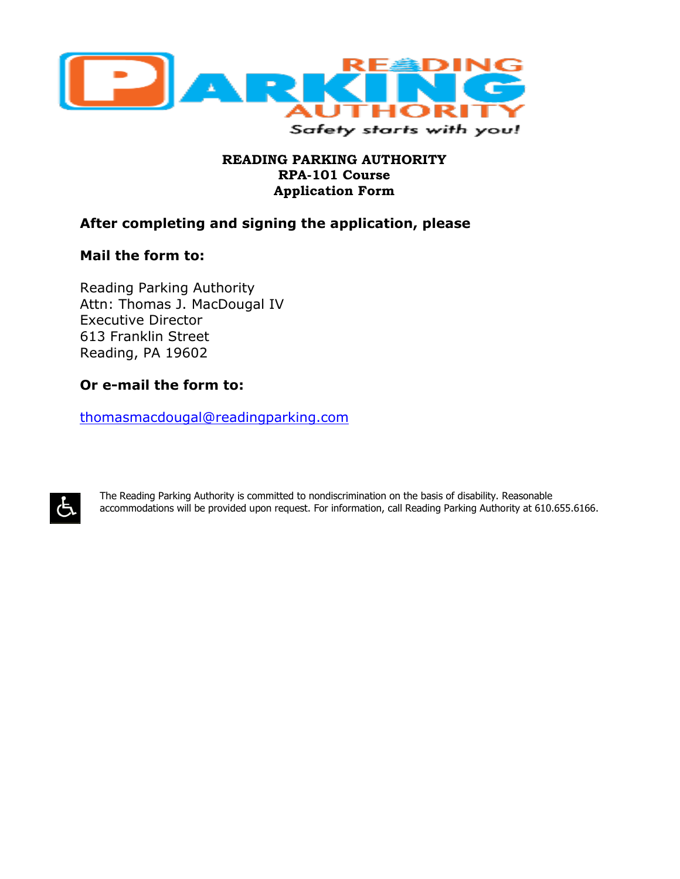

## **READING PARKING AUTHORITY RPA-101 Course Application Form**

# **After completing and signing the application, please**

## **Mail the form to:**

Reading Parking Authority Attn: Thomas J. MacDougal IV Executive Director 613 Franklin Street Reading, PA 19602

# **Or e-mail the form to:**

[thomasmacdougal@readingparking.com](mailto:thomasmacdougal@readingparking.com)



The Reading Parking Authority is committed to nondiscrimination on the basis of disability. Reasonable accommodations will be provided upon request. For information, call Reading Parking Authority at 610.655.6166.